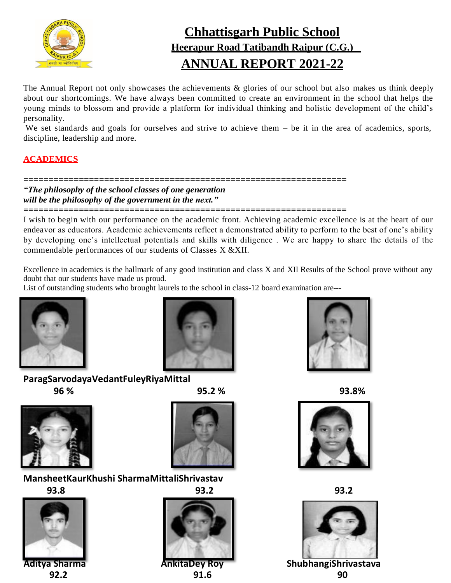

# **Chhattisgarh Public School Heerapur Road Tatibandh Raipur (C.G.) ANNUAL REPORT 2021-22**

The Annual Report not only showcases the achievements & glories of our school but also makes us think deeply about our shortcomings. We have always been committed to create an environment in the school that helps the young minds to blossom and provide a platform for individual thinking and holistic development of the child's personality.

We set standards and goals for ourselves and strive to achieve them – be it in the area of academics, sports, discipline, leadership and more.

# **ACADEMICS**

# **================================================================**

*"The philosophy of the school classes of one generation will be the philosophy of the government in the next."*

**================================================================**

I wish to begin with our performance on the academic front. Achieving academic excellence is at the heart of our endeavor as educators. Academic achievements reflect a demonstrated ability to perform to the best of one's ability by developing one's intellectual potentials and skills with diligence . We are happy to share the details of the commendable performances of our students of Classes X &XII.

Excellence in academics is the hallmark of any good institution and class X and XII Results of the School prove without any doubt that our students have made us proud.

List of outstanding students who brought laurels to the school in class-12 board examination are---





# **ParagSarvodayaVedantFuleyRiyaMittal 96 % 95.2 % 93.8%**





# **MansheetKaurKhushi SharmaMittaliShrivastav**







**92.2 91.6 90**









**Aditya Sharma AnkitaDey Roy ShubhangiShrivastava**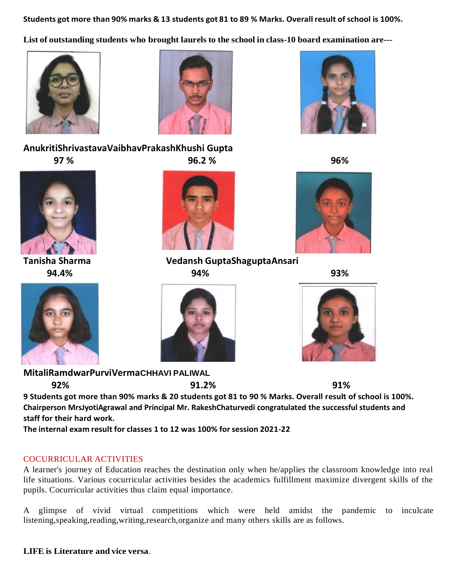Students got more than 90% marks & 13 students got 81 to 89 % Marks. Overall result of school is 100%.

**List of outstanding students who brought laurels to the school in class-10 board examination are---**





**AnukritiShrivastavaVaibhavPrakashKhushi Gupta 97 % 96.2 % 96%**



**94.4% 94% 93%**





**Tanisha Sharma Vedansh GuptaShaguptaAnsari**









**MitaliRamdwarPurviVermaCHHAVI PALIWAL**

**92% 91.2% 91% 9 Students got more than 90% marks & 20 students got 81 to 90 % Marks. Overall result of school is 100%. Chairperson MrsJyotiAgrawal and Principal Mr. RakeshChaturvedi congratulated the successful students and staff for their hard work.**

**The internal exam result for classes 1 to 12 was 100% forsession 2021-22**

# COCURRICULAR ACTIVITIES

A learner's journey of Education reaches the destination only when he/applies the classroom knowledge into real life situations. Various cocurricular activities besides the academics fulfillment maximize divergent skills of the pupils. Cocurricular activities thus claim equal importance.

A glimpse of vivid virtual competitions which were held amidst the pandemic to inculcate listening, speaking, reading, writing, research, organize and many others skills are as follows.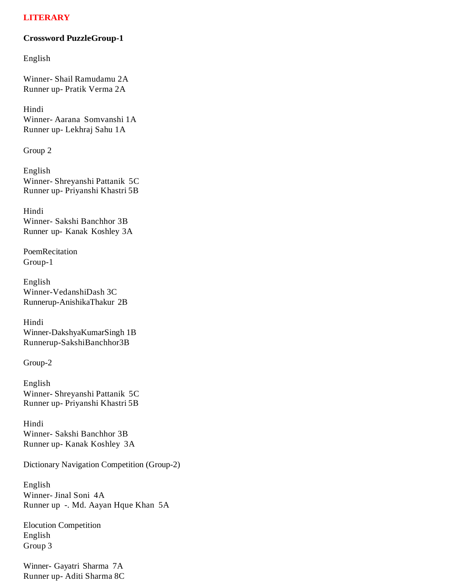# **LITERARY**

#### **Crossword PuzzleGroup-1**

English

Winner- Shail Ramudamu 2A Runner up- Pratik Verma 2A

Hindi Winner- Aarana Somvanshi 1A Runner up- Lekhraj Sahu 1A

Group 2

English Winner- Shreyanshi Pattanik 5C Runner up- Priyanshi Khastri 5B

Hindi Winner- Sakshi Banchhor 3B Runner up- Kanak Koshley 3A

PoemRecitation Group-1

English Winner-VedanshiDash 3C Runnerup-AnishikaThakur 2B

Hindi Winner-DakshyaKumarSingh 1B Runnerup-SakshiBanchhor3B

Group-2

English Winner- Shreyanshi Pattanik 5C Runner up- Priyanshi Khastri 5B

Hindi Winner- Sakshi Banchhor 3B Runner up- Kanak Koshley 3A

Dictionary Navigation Competition (Group-2)

English Winner- Jinal Soni 4A Runner up -. Md. Aayan Hque Khan 5A

Elocution Competition English Group 3

Winner- Gayatri Sharma 7A Runner up- Aditi Sharma 8C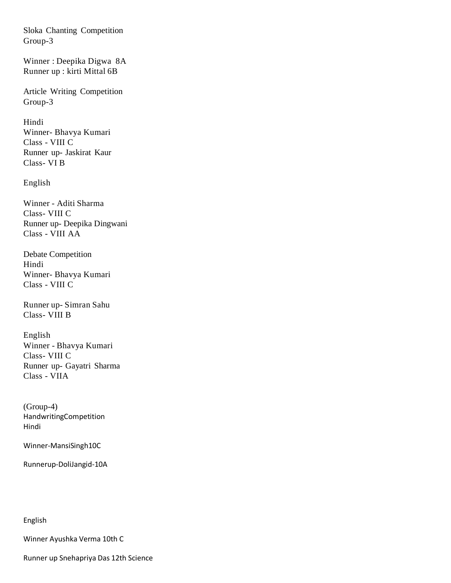Sloka Chanting Competition Group-3

Winner : Deepika Digwa 8A Runner up : kirti Mittal 6B

Article Writing Competition Group-3

Hindi Winner- Bhavya Kumari Class - VIII C Runner up- Jaskirat Kaur Class- VI B

English

Winner - Aditi Sharma Class- VIII C Runner up- Deepika Dingwani Class - VIII AA

Debate Competition Hindi Winner- Bhavya Kumari Class - VIII C

Runner up- Simran Sahu Class- VIII B

English Winner - Bhavya Kumari Class- VIII C Runner up- Gayatri Sharma Class - VIIA

(Group-4) HandwritingCompetition Hindi

Winner-MansiSingh10C

Runnerup-DoliJangid-10A

English

Winner Ayushka Verma 10th C

Runner up Snehapriya Das 12th Science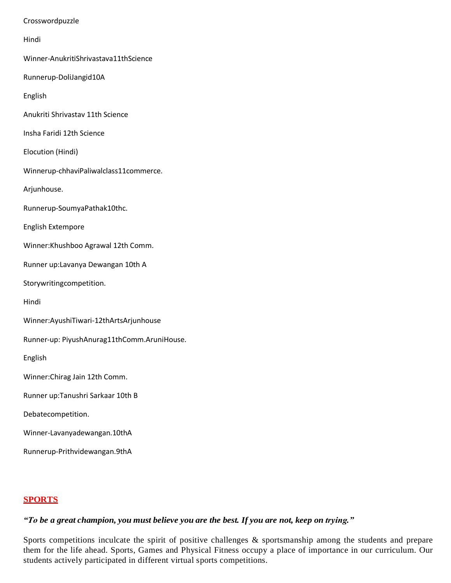Crosswordpuzzle

Hindi

Winner-AnukritiShrivastava11thScience

Runnerup-DoliJangid10A

English

Anukriti Shrivastav 11th Science

Insha Faridi 12th Science

Elocution (Hindi)

Winnerup-chhaviPaliwalclass11commerce.

Arjunhouse.

Runnerup-SoumyaPathak10thc.

English Extempore

Winner:Khushboo Agrawal 12th Comm.

Runner up:Lavanya Dewangan 10th A

Storywritingcompetition.

Hindi

Winner:AyushiTiwari-12thArtsArjunhouse

Runner-up: PiyushAnurag11thComm.AruniHouse.

English

Winner:Chirag Jain 12th Comm.

Runner up:Tanushri Sarkaar 10th B

Debatecompetition.

Winner-Lavanyadewangan.10thA

Runnerup-Prithvidewangan.9thA

# **SPORTS**

"To be a great champion, you must believe you are the best. If you are not, keep on trying."

Sports competitions inculcate the spirit of positive challenges & sportsmanship among the students and prepare them for the life ahead. Sports, Games and Physical Fitness occupy a place of importance in our curriculum. Our students actively participated in different virtual sports competitions.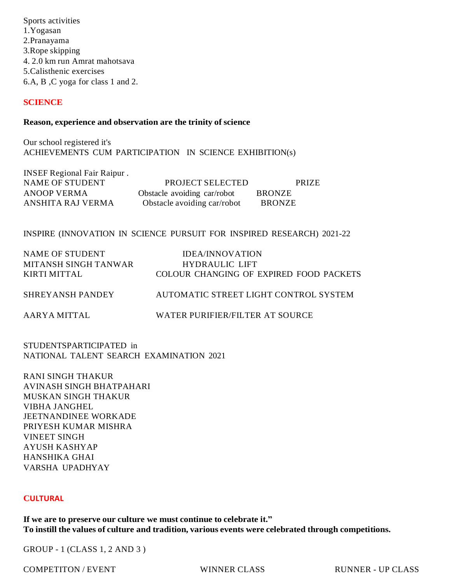Sports activities 1.Yogasan 2.Pranayama 3.Rope skipping 4. 2.0 km run Amrat mahotsava 5.Calisthenic exercises 6.A, B ,C yoga for class 1 and 2.

### **SCIENCE**

#### **Reason, experience and observation are the trinity of science**

Our school registered it's ACHIEVEMENTS CUM PARTICIPATION IN SCIENCE EXHIBITION(s)

| <b>INSEF Regional Fair Raipur.</b> |                             |               |
|------------------------------------|-----------------------------|---------------|
| NAME OF STUDENT                    | PROJECT SELECTED            | <b>PRIZE</b>  |
| ANOOP VERMA                        | Obstacle avoiding car/robot | <b>BRONZE</b> |
| ANSHITA RAJ VERMA                  | Obstacle avoiding car/robot | <b>BRONZE</b> |

#### INSPIRE (INNOVATION IN SCIENCE PURSUIT FOR INSPIRED RESEARCH) 2021-22

| NAME OF STUDENT         | IDEA/INNOVATION                         |
|-------------------------|-----------------------------------------|
| MITANSH SINGH TANWAR    | <b>HYDRAULIC LIFT</b>                   |
| KIRTI MITTAL            | COLOUR CHANGING OF EXPIRED FOOD PACKETS |
| <b>SHREYANSH PANDEY</b> | AUTOMATIC STREET LIGHT CONTROL SYSTEM   |
| AARYA MITTAL            | WATER PURIFIER/FILTER AT SOURCE         |

STUDENTSPARTICIPATED in NATIONAL TALENT SEARCH EXAMINATION 2021

RANI SINGH THAKUR AVINASH SINGH BHATPAHARI MUSKAN SINGH THAKUR VIBHA JANGHEL JEETNANDINEE WORKADE PRIYESH KUMAR MISHRA VINEET SINGH AYUSH KASHYAP HANSHIKA GHAI VARSHA UPADHYAY

### **CULTURAL**

**If we are to preserve our culture we must continue to celebrate it." To instill the values of culture and tradition, various events were celebrated through competitions.**

GROUP - 1 (CLASS 1, 2 AND 3 )

COMPETITON / EVENT WINNER CLASS RUNNER - UP CLASS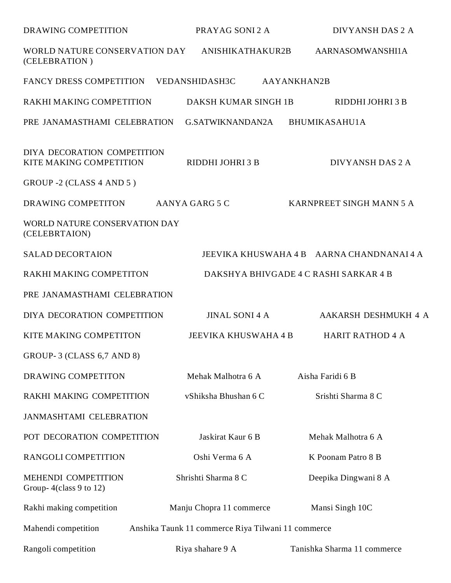| <b>DRAWING COMPETITION</b>                                                | PRAYAG SONI 2 A          | DIVYANSH DAS 2 A                          |
|---------------------------------------------------------------------------|--------------------------|-------------------------------------------|
| WORLD NATURE CONSERVATION DAY<br>(CELEBRATION)                            | ANISHIKATHAKUR2B         | AARNASOMWANSHI1A                          |
| FANCY DRESS COMPETITION VEDANSHIDASH3C                                    |                          | AAYANKHAN2B                               |
| RAKHI MAKING COMPETITION                                                  | DAKSH KUMAR SINGH 1B     | RIDDHI JOHRI 3 B                          |
| PRE JANAMASTHAMI CELEBRATION                                              | G.SATWIKNANDAN2A         | BHUMIKASAHU1A                             |
| DIYA DECORATION COMPETITION<br>KITE MAKING COMPETITION                    | RIDDHI JOHRI 3 B         | DIVYANSH DAS 2 A                          |
| GROUP -2 (CLASS 4 AND 5)                                                  |                          |                                           |
| DRAWING COMPETITON                                                        | AANYA GARG 5 C           | KARNPREET SINGH MANN 5 A                  |
| WORLD NATURE CONSERVATION DAY<br>(CELEBRTAION)                            |                          |                                           |
| <b>SALAD DECORTAION</b>                                                   |                          | JEEVIKA KHUSWAHA 4 B AARNA CHANDNANAI 4 A |
| RAKHI MAKING COMPETITON                                                   |                          | DAKSHYA BHIVGADE 4 C RASHI SARKAR 4 B     |
| PRE JANAMASTHAMI CELEBRATION                                              |                          |                                           |
| DIYA DECORATION COMPETITION                                               | <b>JINAL SONI 4 A</b>    | AAKARSH DESHMUKH 4 A                      |
| KITE MAKING COMPETITON                                                    | JEEVIKA KHUSWAHA 4 B     | <b>HARIT RATHOD 4 A</b>                   |
| GROUP-3 (CLASS 6,7 AND 8)                                                 |                          |                                           |
| DRAWING COMPETITON                                                        | Mehak Malhotra 6 A       | Aisha Faridi 6 B                          |
| RAKHI MAKING COMPETITION                                                  | vShiksha Bhushan 6 C     | Srishti Sharma 8 C                        |
| <b>JANMASHTAMI CELEBRATION</b>                                            |                          |                                           |
| POT DECORATION COMPETITION                                                | Jaskirat Kaur 6 B        | Mehak Malhotra 6 A                        |
| RANGOLI COMPETITION                                                       | Oshi Verma 6 A           | K Poonam Patro 8 B                        |
| MEHENDI COMPETITION<br>Group- $4$ (class 9 to 12)                         | Shrishti Sharma 8 C      | Deepika Dingwani 8 A                      |
| Rakhi making competition                                                  | Manju Chopra 11 commerce | Mansi Singh 10C                           |
| Mahendi competition<br>Anshika Taunk 11 commerce Riya Tilwani 11 commerce |                          |                                           |
| Rangoli competition                                                       | Riya shahare 9 A         | Tanishka Sharma 11 commerce               |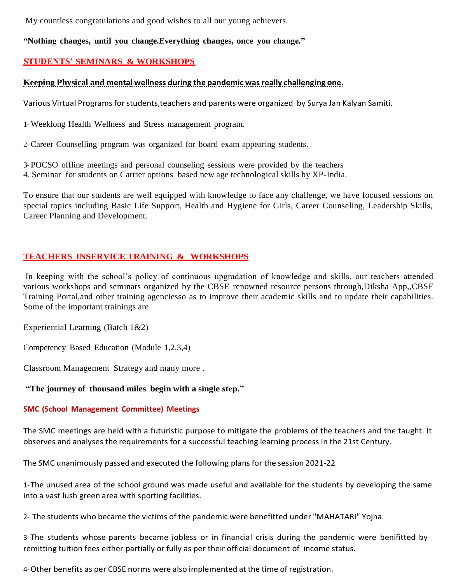My countless congratulations and good wishes to all our young achievers.

# **"Nothing changes, until you change.Everything changes, once you change."**

# **STUDENTS' SEMINARS & WORKSHOPS**

# **Keeping Physical and mental wellness during the pandemic was really challenging one.**

Various Virtual Programs forstudents,teachers and parents were organized by Surya Jan Kalyan Samiti.

1-Weeklong Health Wellness and Stress management program.

2-Career Counselling program was organized for board exam appearing students.

3- POCSO offline meetings and personal counseling sessions were provided by the teachers

4. Seminar for students on Carrier options based new age technological skills by XP-India.

To ensure that our students are well equipped with knowledge to face any challenge, we have focused sessions on special topics including Basic Life Support, Health and Hygiene for Girls, Career Counseling, Leadership Skills, Career Planning and Development.

# **TEACHERS INSERVICE TRAINING & WORKSHOPS**

In keeping with the school's policy of continuous upgradation of knowledge and skills, our teachers attended various workshops and seminars organized by the CBSE renowned resource persons through,Diksha App,,CBSE Training Portal,and other training agenciesso as to improve their academic skills and to update their capabilities. Some of the important trainings are

Experiential Learning (Batch 1&2)

Competency Based Education (Module 1,2,3,4)

Classroom Management Strategy and many more .

# **"The journey of thousand miles begin with a single step."**

### **SMC (School Management Committee) Meetings**

The SMC meetings are held with a futuristic purpose to mitigate the problems of the teachers and the taught. It observes and analyses the requirements for a successful teaching learning process in the 21st Century.

The SMC unanimously passed and executed the following plans for the session 2021-22

1-The unused area of the school ground was made useful and available for the students by developing the same into a vast lush green area with sporting facilities.

2- The students who became the victims of the pandemic were benefitted under "MAHATARI" Yojna.

3-The students whose parents became jobless or in financial crisis during the pandemic were benifitted by remitting tuition fees either partially or fully as per their official document of income status.

4-Other benefits as per CBSE norms were also implemented at the time of registration.